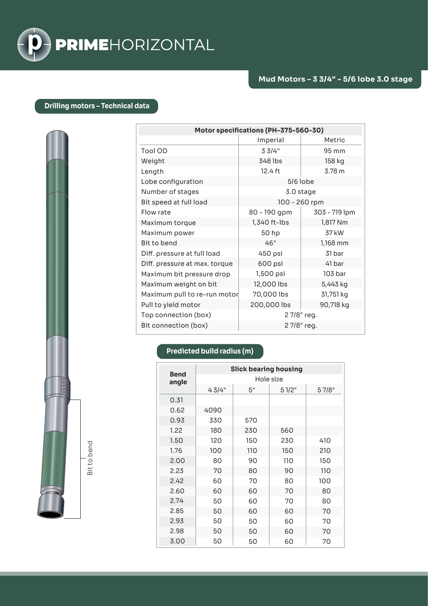

## **Drilling motors – Technical data**

| Motor specifications (PH-375-560-30) |               |               |  |  |  |
|--------------------------------------|---------------|---------------|--|--|--|
|                                      | Imperial      | Metric        |  |  |  |
| Tool OD                              | 33/4"         | 95 mm         |  |  |  |
| Weight                               | 348 lbs       | 158 kg        |  |  |  |
| Length                               | 12.4 ft       | 3.78 m        |  |  |  |
| Lobe configuration                   | $5/6$ lobe    |               |  |  |  |
| Number of stages                     | 3.0 stage     |               |  |  |  |
| Bit speed at full load               | 100 - 260 rpm |               |  |  |  |
| Flow rate                            | 80 - 190 gpm  | 303 - 719 lpm |  |  |  |
| Maximum torque                       | 1,340 ft-lbs  | 1,817 Nm      |  |  |  |
| Maximum power                        | 50 hp         | 37 kW         |  |  |  |
| Bit to bend                          | 46"           | 1,168 mm      |  |  |  |
| Diff. pressure at full load          | 450 psi       | 31 bar        |  |  |  |
| Diff. pressure at max. torque        | 600 psi       | 41 bar        |  |  |  |
| Maximum bit pressure drop            | 1,500 psi     | 103 bar       |  |  |  |
| Maximum weight on bit                | 12,000 lbs    | 5,443 kg      |  |  |  |
| Maximum pull to re-run motor         | 70,000 lbs    | 31,751 kg     |  |  |  |
| Pull to yield motor                  | 200,000 lbs   | 90,718 kg     |  |  |  |
| Top connection (box)                 | 27/8" reg.    |               |  |  |  |
| Bit connection (box)                 | 27/8" reg.    |               |  |  |  |

## **Predicted build radius (m)**

| <b>Bend</b><br>angle | <b>Slick bearing housing</b> |     |       |       |  |
|----------------------|------------------------------|-----|-------|-------|--|
|                      | Hole size                    |     |       |       |  |
|                      | 43/4"                        | 5"  | 51/2" | 57/8" |  |
| 0.31                 |                              |     |       |       |  |
| 0.62                 | 4090                         |     |       |       |  |
| 0.93                 | 330                          | 570 |       |       |  |
| 1.22                 | 180                          | 230 | 560   |       |  |
| 1.50                 | 120                          | 150 | 230   | 410   |  |
| 1.76                 | 100                          | 110 | 150   | 210   |  |
| 2.00                 | 80                           | 90  | 110   | 150   |  |
| 2.23                 | 70                           | 80  | 90    | 110   |  |
| 2.42                 | 60                           | 70  | 80    | 100   |  |
| 2.60                 | 60                           | 60  | 70    | 80    |  |
| 2.74                 | 50                           | 60  | 70    | 80    |  |
| 2.85                 | 50                           | 60  | 60    | 70    |  |
| 2.93                 | 50                           | 50  | 60    | 70    |  |
| 2.98                 | 50                           | 50  | 60    | 70    |  |
| 3.00                 | 50                           | 50  | 60    | 70    |  |

Bit to bend

Bit to bend